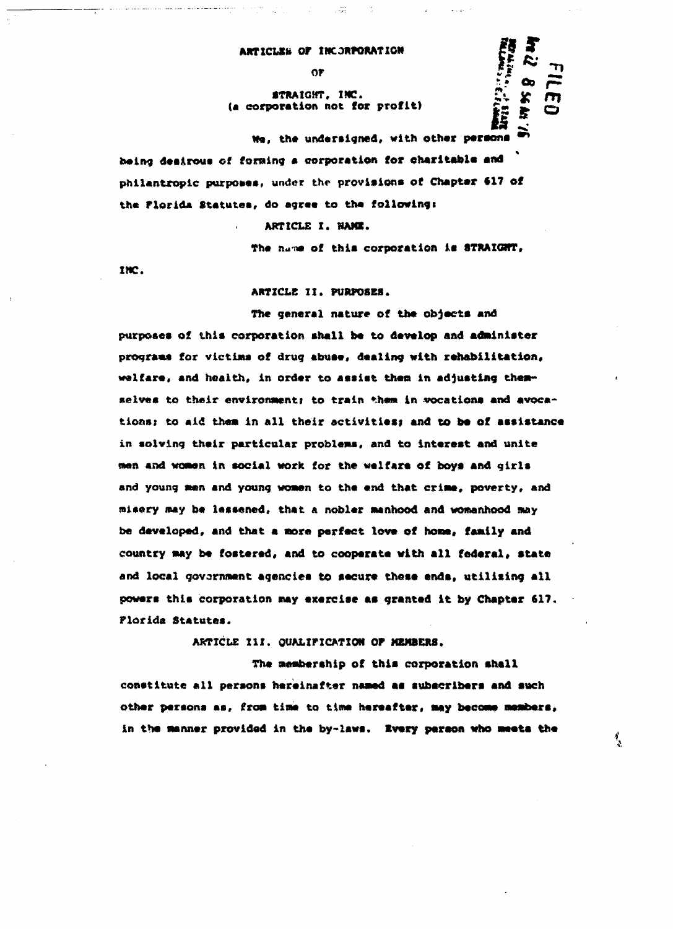## ARTICLES OF INCORPORATION

 $0<sup>r</sup>$ 

## STRAIGHT, INC. (a corporation not for profit)

We, the undersigned, with other persons being desirous of forming a corporation for charitable and philantropic purposes, under the provisions of Chapter 617 of the Florida Statutes, do agree to the following:

ARTICLE I. NAME.

The name of this corporation is STRAIGHT.

好兴

 $\frac{1}{2}$ 

INC.

ARTICLE II. PURPOSES.

The general nature of the objects and purposes of this corporation shall be to develop and administer programs for victims of drug abuse, dealing with rehabilitation, welfare, and hoalth, in order to assist them in adjusting themselves to their environment; to train them in vocations and avocations; to aid them in all their activities; and to be of assistance in solving their particular problems, and to interest and unite men and women in social work for the welfars of boys and girls and young men and young women to the end that crime, poverty, and misery may be lessened, that a nobler manhood and womanhood may be developed, and that a more perfect love of home, family and country may be fostered, and to cooperate with all federal, state and local government agencies to secure these ends, utilizing all powers this corporation may exercise as granted it by Chapter 617. Plorida Statutes.

ARTICLE III. QUALIFICATION OF MEMBERS.

The membership of this corporation shall constitute all persons hereinafter named as subscribers and such other persons as, from time to time hereafter, may become members, in the manner provided in the by-laws. Every person who meets the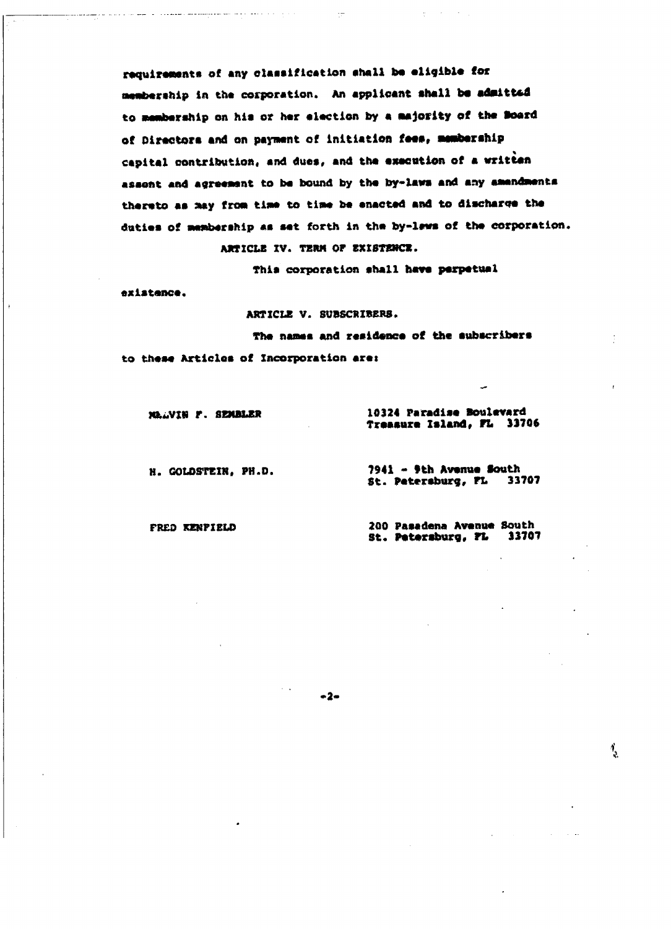requirements of any classification shall be eligible for membership in the corporation. An applicant shall be admitted to membership on his or her election by a majority of the Board of Directors and on payment of initiation fees, membership capital contribution, and dues, and the execution of a written assont and agreement to be bound by the by-laws and any amendments thereto as may from time to time be enacted and to discharge the duties of membership as set forth in the by-lews of the corporation. ARTICLE IV. TERM OF EXISTENCE.

This corporation shall have perpetual

existence.

ARTICLE V. SUBSCRIBERS.

The names and residence of the subscribers to these Articles of Incorporation are:

 $-2-$ 

MALVIN F. SEMBLER

and the companion component with the contract of the contract of the contract of the contract of the contract of the contract of the contract of the contract of the contract of the contract of the contract of the contract

10324 Paradise Boulevard Treasure Island, FL 33706

H. GOLDSTEIN, PH.D.

7941 - 9th Avenue South St. Petersburg, FL 33707

FRED KENPIELD

200 Pasadena Avenue South 33707 St. Petersburg, FL

१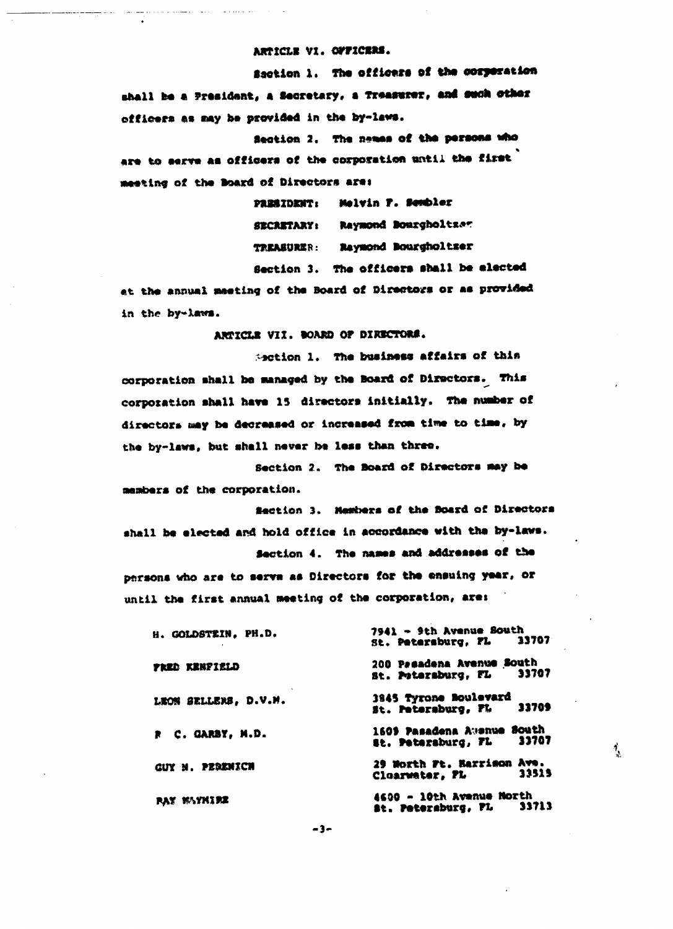ARTICLE VI. OFFICERS.

Saction 1. The officers of the corporation shall be a President, a Secretary, a Treasurer, and such other officers as may be provided in the by-laws.

Section 2. The names of the persons who are to serve as officers of the corporation until the first meeting of the Board of Directors are:

> PRESIDENT: Melvin P. Sembler SECRETARY: Raymond Bourgholtzer TREASURER: Raymond Bourgholtser Section 3. The officers shall be elected

at the annual meeting of the Board of Directors or as provided in the by-laws.

ARTICLE VII. BOARD OF DIRECTORS.

Section 1. The business affairs of this corporation shall be managed by the Board of Directors. This corporation shall have 15 directors initially. The number of directors may be decreased or increased from time to time, by the by-laws, but shall never be less than three.

Section 2. The Board of Directors may be members of the corporation.

Section 3. Members of the Board of Directors shall be elected and hold office in accordance with the by-laws.

Section 4. The names and addresses of the persons who are to serve as Directors for the ensuing year, or until the first annual meeting of the corporation, are:

| H. GOLDSTEIN, PH.D.    | 7941 - 9th Avenue South<br>St. Petersburg. FL 13707       |
|------------------------|-----------------------------------------------------------|
| FRED KENPIELD          | 200 Pesadena Avenue South<br>33707<br>st. Potersburg, FL  |
| LEON SELLERS, D.V.M.   | 3845 Tyrone Boulevard<br>33709<br>st. Petersburg, FL      |
| R C. GARBY. M.D.       | 1609 Pasadena Awenue South<br>33707<br>st. Petersburg, FL |
| <b>GUY M. PERENICH</b> | 29 North Ft. Harrison Ave.<br>33515<br>Cloarwater, FL     |
| <b>PAY NAYMIRE</b>     | 4600 - 10th Avenue North<br>33713<br>St. Petersburg, PL   |

 $\mathbf{1}_{\mathbf{2}}$ 

 $-3-$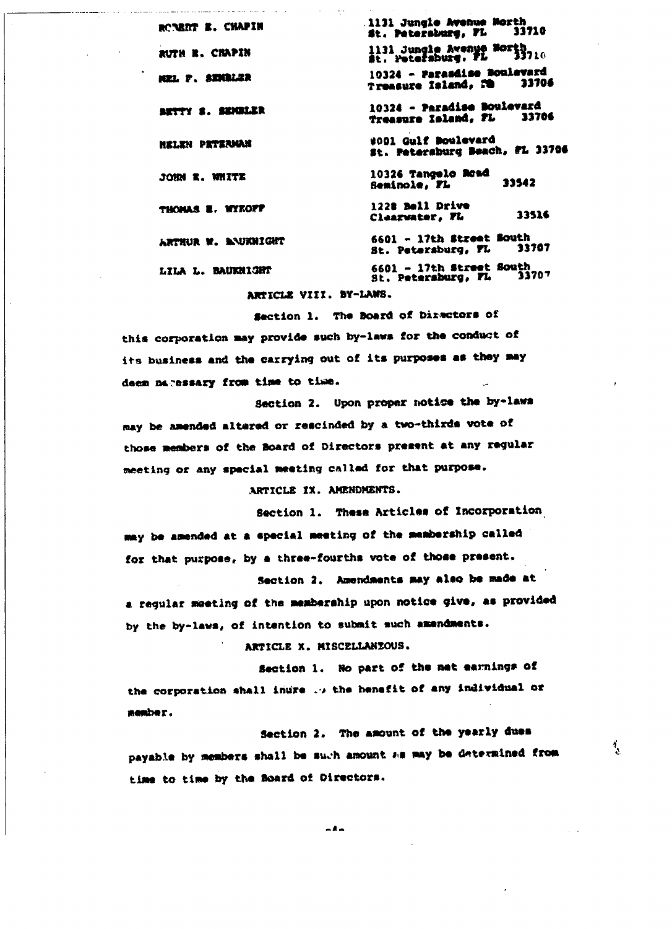1131 Jungle Avenue Morth ROBRAT E. CHAPIN 33710 st. Petersburg, FL 1131 Jungle Avenue Morth<br>St. Petersburg, FL 33710 RUTH R. CHAPIN 10324 - Parasdise Boulevard MEL P. SENGLAR 33706 Treasure Island, FB 10324 - Paradise Boulevard BETTY S. SENGLER 33706 Treasure Island, FL #001 Gulf Boulevard *HELEN PETERMAN* St. Petersburg Beach, FL 33706 10326 Tangelo Road JOHN R. WHITE 33542 Seminole, FL THOMAS E. WYKOFF 1228 Bell Drive 13516 Clearwater, FL 6601 - 17th Street South ARTHUR W. BAUKNIGHT 33707 St. Petersburg, FL 6601 - 17th Street South<br>St. Petersburg, FL 33 LILA L. BAUKNIGHT 33707

ARTICLE VIII. BY-LANS.

and a control communication of a social

Section 1. The Board of Directors of this corporation may provide such by-laws for the conduct of its business and the carrying out of its purposes as they may deem naressary from time to time.

Section 2. Upon proper notice the by-laws may be amended altered or rescinded by a two-thirds vote of those members of the Board of Directors present at any regular meeting or any special meeting called for that purpose.

ARTICLE IX. AMENDMENTS.

Section 1. These Articles of Incorporation may be amended at a special meeting of the membership called for that purpose, by a three-fourths vote of those present.

Section 2. Amendments may also be made at a regular meeting of the membership upon notice give, as provided by the by-laws, of intention to submit such amendments.

ARTICLE X. MISCELLANIOUS.

Section 1. No part of the met earnings of the corporation shall inure ... the henefit of any individual or nember.

Section 2. The amount of the yearly dues payable by members shall be such amount as may be determined from time to time by the Board of Directors.

ै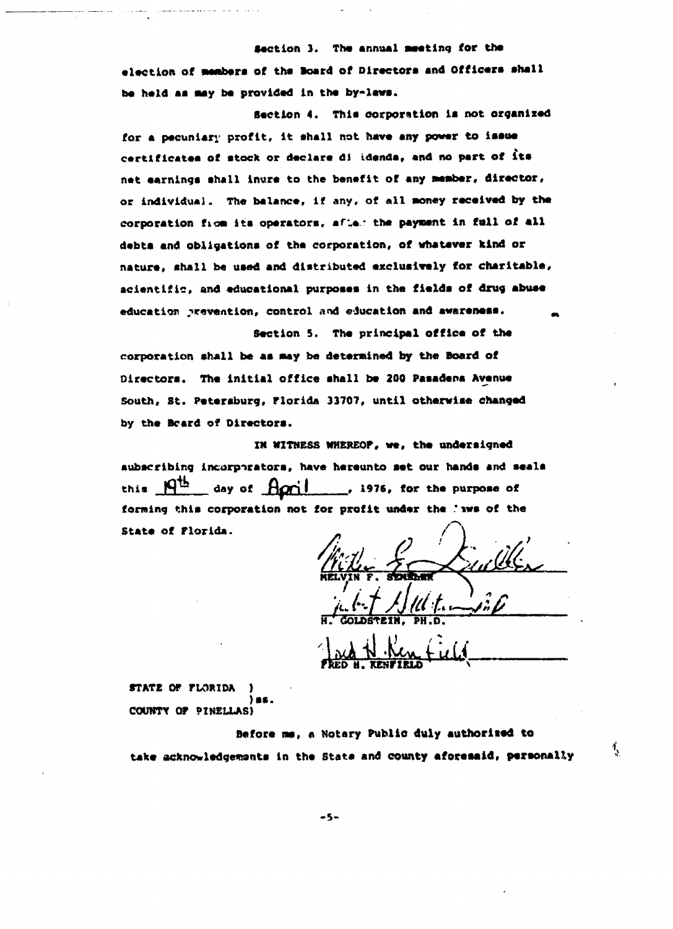**Section 3. The annual Meeting for the** election of members of the Board of Directors and Officers shall be held as may be provided in the by-laws.

**Section 4. This corporation is not organized** for a pecuniary profit, it shall not have any power to issue **certificate\* of stock or declare di idenda, and no part of it\*** net earnings shall inure to the benefit of any member, director, or individual. The balance, if any, of all money received by the corporation fiom its operators, afles the payment in full of all **debts and obligations of the corporation, of whatever kind or** nature, shall be used and distributed exclusively for charitable, **scientific\* and educational purposes in the fields of drug abuse education prevention, control and education and awareness. ,**

**Section 5. The principal office of the corporation shall be as may be determined by the Board of Directors. The initial office shall be 200 Pasadena Avenue South, St. Petersburg, Florida 33707, until otherwise changed by the Beard of Directors.**

**in WITNESS WHEREOF, we, the undersigned subscribing incarpirators, have hereunto set our hands and seals** this  $\frac{f(t)}{dt}$  day of  $f(\sigma)$  , 1976, for the purpose of **forming this corporation not for profit under the \*iws of the State of Florida.**

**H. GQtDSTEIH, PH.D.**

**FRED H. KENFIRLD** 

**<sup>i</sup>'**

STATE OF FLORIDA COUNTY OF PINELLAS)

**Before ne, e Notary Public duly authorited to** take acknowledgements in the State and county aforesaid, personally

 $-5-$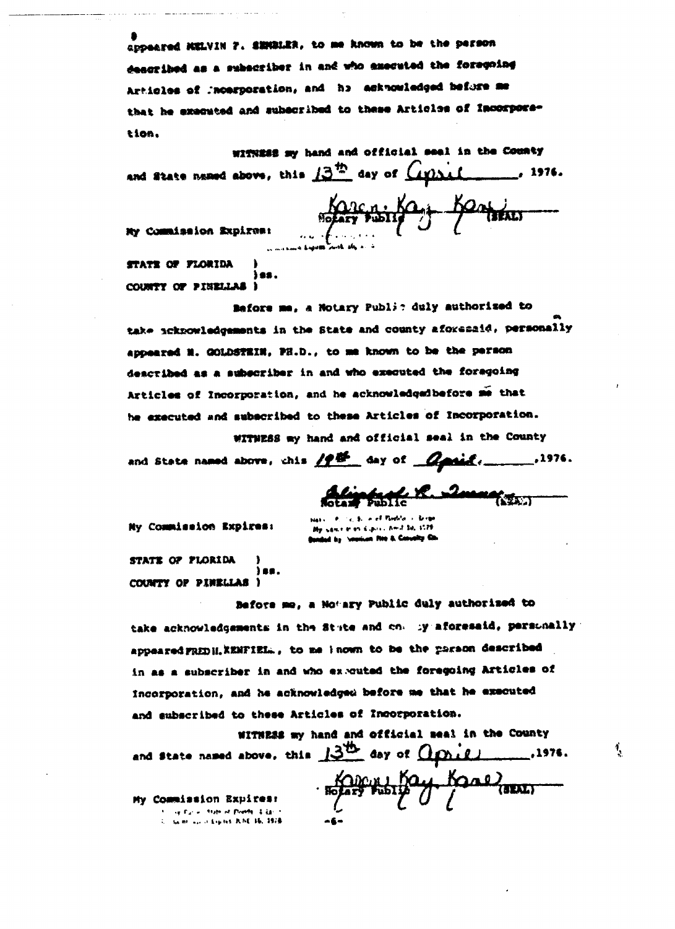appeared MELVIN 7. SEMBLER, to me known to be the person described as a subscriber in and who executed the foregoing Articles of Incerporation, and he acknowledged before me that he executed and subscribed to these Articles of Incorporation.

withing my hand and official seal in the County and State named above, this  $13^{15}$  day of  $Gylx$ .

Karensing Bonieur

My Commission Expires:

STATE OF FLORIDA COUNTY OF PINELLAL I

Before me, a Notary Public duly authorized to take acknowledgements in the State and county aforeraid, personally appeared N. GOLDSTEIN, PH.D., to me known to be the person described as a subscriber in and who executed the foregoing Articles of Incorporation, and he acknowledgedbefore me that be executed and subscribed to these Articles of Incorporation.

WITNESS my hand and official seal in the County and State named above, chis  $/2E$  day of  $Q$  and  $($ 

<u> Science of C. Duranger,</u>

र्गु

Ny Commission Expires:

ischen Kalin i Amit bij 3078 Banded by Seasons For & Conveity Co.

STATE OF FLORIDA iaa. COUNTY OF PINKLIAS )

Before me, a Notary Public duly authorized to take acknowledgements in the Stute and on. by aforesaid, persunally appeared FRED H. KENFIEL., to me known to be the paraon described in as a subscriber in and who ex-cuted the foregoing Articles of incorporation, and he acknowledged before me that he executed and subscribed to these Articles of Incorporation.

WITHESS my hand and official seal in the County and state named above, this 13th day of *agries*  $-.1976.$ Kappy Kay Kane My Commission Expires: **Sup Parties At Family A. Director of Bilder In-**U. Game and Aspens R.NE 16, 1978